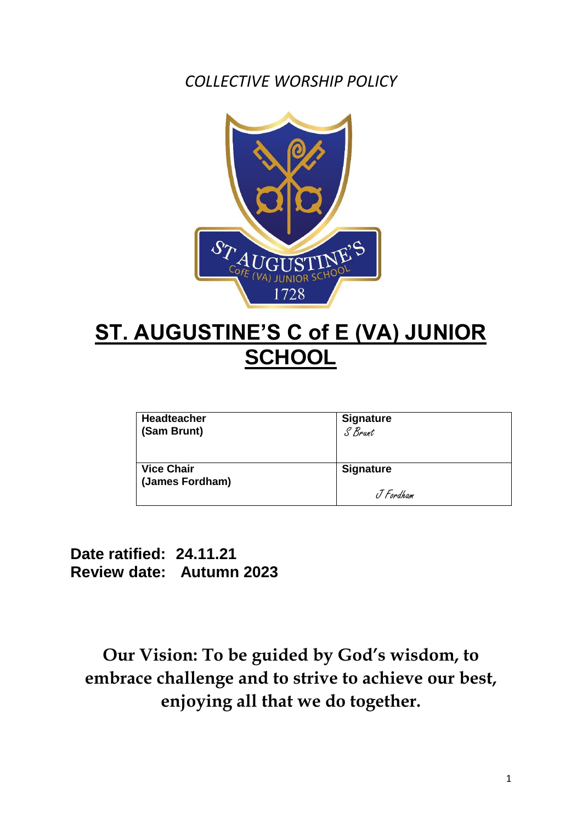*COLLECTIVE WORSHIP POLICY*



# **ST. AUGUSTINE'S C of E (VA) JUNIOR SCHOOL**

| <b>Headteacher</b> | <b>Signature</b> |
|--------------------|------------------|
| (Sam Brunt)        | S Brant          |
| <b>Vice Chair</b>  | <b>Signature</b> |
| (James Fordham)    | J Fordham        |

**Date ratified: 24.11.21 Review date: Autumn 2023**

**Our Vision: To be guided by God's wisdom, to embrace challenge and to strive to achieve our best, enjoying all that we do together.**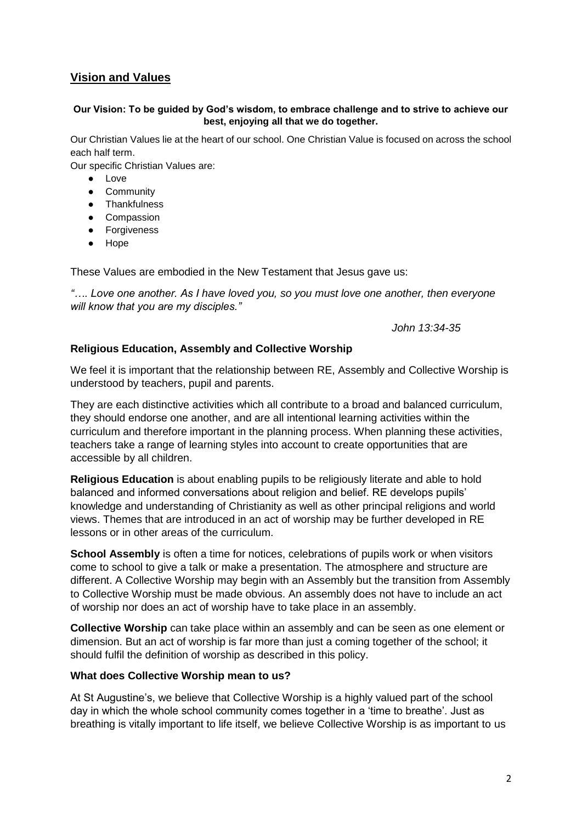# **Vision and Values**

### **Our Vision: To be guided by God's wisdom, to embrace challenge and to strive to achieve our best, enjoying all that we do together.**

Our Christian Values lie at the heart of our school. One Christian Value is focused on across the school each half term.

Our specific Christian Values are:

- Love
- Community
- Thankfulness
- Compassion
- Forgiveness
- Hope

These Values are embodied in the New Testament that Jesus gave us:

*"…. Love one another. As I have loved you, so you must love one another, then everyone will know that you are my disciples."*

 *John 13:34-35*

### **Religious Education, Assembly and Collective Worship**

We feel it is important that the relationship between RE, Assembly and Collective Worship is understood by teachers, pupil and parents.

They are each distinctive activities which all contribute to a broad and balanced curriculum, they should endorse one another, and are all intentional learning activities within the curriculum and therefore important in the planning process. When planning these activities, teachers take a range of learning styles into account to create opportunities that are accessible by all children.

**Religious Education** is about enabling pupils to be religiously literate and able to hold balanced and informed conversations about religion and belief. RE develops pupils' knowledge and understanding of Christianity as well as other principal religions and world views. Themes that are introduced in an act of worship may be further developed in RE lessons or in other areas of the curriculum.

**School Assembly** is often a time for notices, celebrations of pupils work or when visitors come to school to give a talk or make a presentation. The atmosphere and structure are different. A Collective Worship may begin with an Assembly but the transition from Assembly to Collective Worship must be made obvious. An assembly does not have to include an act of worship nor does an act of worship have to take place in an assembly.

**Collective Worship** can take place within an assembly and can be seen as one element or dimension. But an act of worship is far more than just a coming together of the school; it should fulfil the definition of worship as described in this policy.

### **What does Collective Worship mean to us?**

At St Augustine's, we believe that Collective Worship is a highly valued part of the school day in which the whole school community comes together in a 'time to breathe'. Just as breathing is vitally important to life itself, we believe Collective Worship is as important to us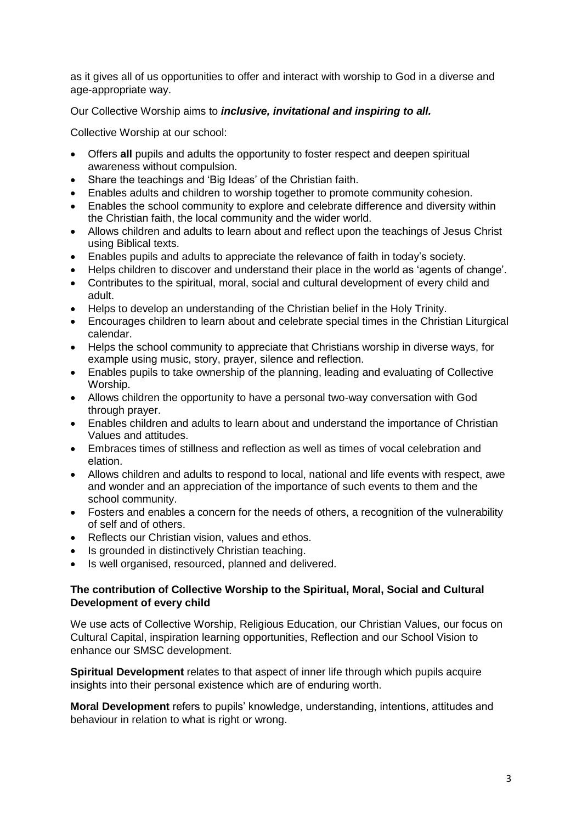as it gives all of us opportunities to offer and interact with worship to God in a diverse and age-appropriate way.

Our Collective Worship aims to *inclusive, invitational and inspiring to all.*

Collective Worship at our school:

- Offers **all** pupils and adults the opportunity to foster respect and deepen spiritual awareness without compulsion.
- Share the teachings and 'Big Ideas' of the Christian faith.
- Enables adults and children to worship together to promote community cohesion.
- Enables the school community to explore and celebrate difference and diversity within the Christian faith, the local community and the wider world.
- Allows children and adults to learn about and reflect upon the teachings of Jesus Christ using Biblical texts.
- Enables pupils and adults to appreciate the relevance of faith in today's society.
- Helps children to discover and understand their place in the world as 'agents of change'.
- Contributes to the spiritual, moral, social and cultural development of every child and adult.
- Helps to develop an understanding of the Christian belief in the Holy Trinity.
- Encourages children to learn about and celebrate special times in the Christian Liturgical calendar.
- Helps the school community to appreciate that Christians worship in diverse ways, for example using music, story, prayer, silence and reflection.
- Enables pupils to take ownership of the planning, leading and evaluating of Collective Worship.
- Allows children the opportunity to have a personal two-way conversation with God through prayer.
- Enables children and adults to learn about and understand the importance of Christian Values and attitudes.
- Embraces times of stillness and reflection as well as times of vocal celebration and elation.
- Allows children and adults to respond to local, national and life events with respect, awe and wonder and an appreciation of the importance of such events to them and the school community.
- Fosters and enables a concern for the needs of others, a recognition of the vulnerability of self and of others.
- Reflects our Christian vision, values and ethos.
- Is grounded in distinctively Christian teaching.
- Is well organised, resourced, planned and delivered.

### **The contribution of Collective Worship to the Spiritual, Moral, Social and Cultural Development of every child**

We use acts of Collective Worship, Religious Education, our Christian Values, our focus on Cultural Capital, inspiration learning opportunities, Reflection and our School Vision to enhance our SMSC development.

**Spiritual Development** relates to that aspect of inner life through which pupils acquire insights into their personal existence which are of enduring worth.

**Moral Development** refers to pupils' knowledge, understanding, intentions, attitudes and behaviour in relation to what is right or wrong.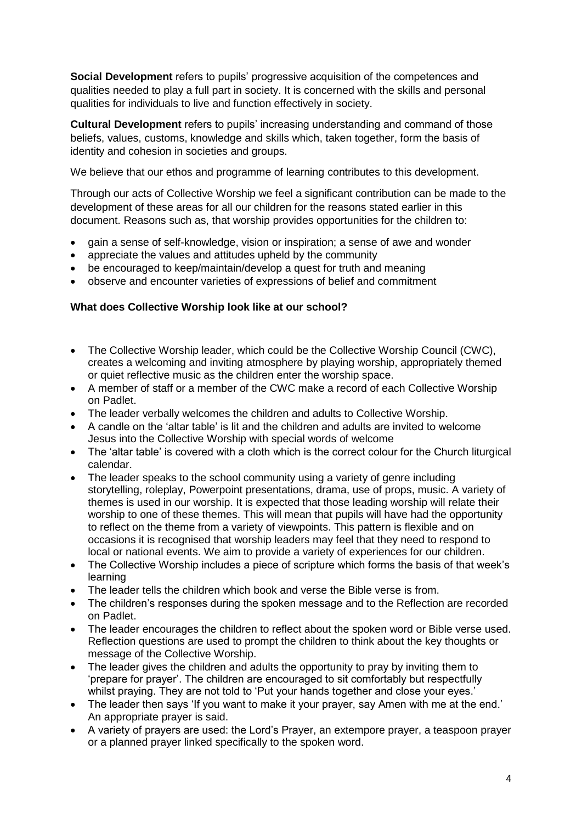**Social Development** refers to pupils' progressive acquisition of the competences and qualities needed to play a full part in society. It is concerned with the skills and personal qualities for individuals to live and function effectively in society.

**Cultural Development** refers to pupils' increasing understanding and command of those beliefs, values, customs, knowledge and skills which, taken together, form the basis of identity and cohesion in societies and groups.

We believe that our ethos and programme of learning contributes to this development.

Through our acts of Collective Worship we feel a significant contribution can be made to the development of these areas for all our children for the reasons stated earlier in this document. Reasons such as, that worship provides opportunities for the children to:

- gain a sense of self-knowledge, vision or inspiration; a sense of awe and wonder
- appreciate the values and attitudes upheld by the community
- be encouraged to keep/maintain/develop a quest for truth and meaning
- observe and encounter varieties of expressions of belief and commitment

### **What does Collective Worship look like at our school?**

- The Collective Worship leader, which could be the Collective Worship Council (CWC), creates a welcoming and inviting atmosphere by playing worship, appropriately themed or quiet reflective music as the children enter the worship space.
- A member of staff or a member of the CWC make a record of each Collective Worship on Padlet.
- The leader verbally welcomes the children and adults to Collective Worship.
- A candle on the 'altar table' is lit and the children and adults are invited to welcome Jesus into the Collective Worship with special words of welcome
- The 'altar table' is covered with a cloth which is the correct colour for the Church liturgical calendar.
- The leader speaks to the school community using a variety of genre including storytelling, roleplay, Powerpoint presentations, drama, use of props, music. A variety of themes is used in our worship. It is expected that those leading worship will relate their worship to one of these themes. This will mean that pupils will have had the opportunity to reflect on the theme from a variety of viewpoints. This pattern is flexible and on occasions it is recognised that worship leaders may feel that they need to respond to local or national events. We aim to provide a variety of experiences for our children.
- The Collective Worship includes a piece of scripture which forms the basis of that week's learning
- The leader tells the children which book and verse the Bible verse is from.
- The children's responses during the spoken message and to the Reflection are recorded on Padlet.
- The leader encourages the children to reflect about the spoken word or Bible verse used. Reflection questions are used to prompt the children to think about the key thoughts or message of the Collective Worship.
- The leader gives the children and adults the opportunity to pray by inviting them to 'prepare for prayer'. The children are encouraged to sit comfortably but respectfully whilst praying. They are not told to 'Put your hands together and close your eyes.'
- The leader then says 'If you want to make it your prayer, say Amen with me at the end.' An appropriate prayer is said.
- A variety of prayers are used: the Lord's Prayer, an extempore prayer, a teaspoon prayer or a planned prayer linked specifically to the spoken word.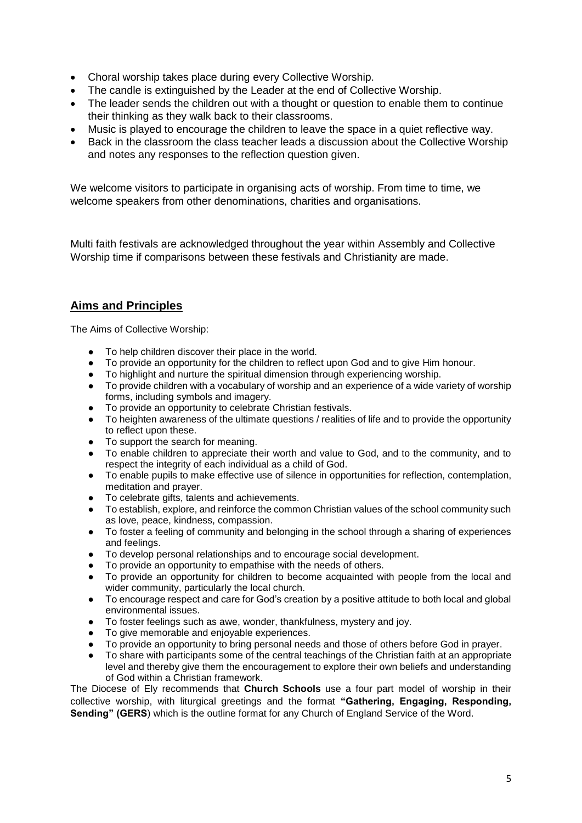- Choral worship takes place during every Collective Worship.
- The candle is extinguished by the Leader at the end of Collective Worship.
- The leader sends the children out with a thought or question to enable them to continue their thinking as they walk back to their classrooms.
- Music is played to encourage the children to leave the space in a quiet reflective way.
- Back in the classroom the class teacher leads a discussion about the Collective Worship and notes any responses to the reflection question given.

We welcome visitors to participate in organising acts of worship. From time to time, we welcome speakers from other denominations, charities and organisations.

Multi faith festivals are acknowledged throughout the year within Assembly and Collective Worship time if comparisons between these festivals and Christianity are made.

# **Aims and Principles**

The Aims of Collective Worship:

- To help children discover their place in the world.
- To provide an opportunity for the children to reflect upon God and to give Him honour.
- To highlight and nurture the spiritual dimension through experiencing worship.
- To provide children with a vocabulary of worship and an experience of a wide variety of worship forms, including symbols and imagery.
- To provide an opportunity to celebrate Christian festivals.
- To heighten awareness of the ultimate questions / realities of life and to provide the opportunity to reflect upon these.
- To support the search for meaning.
- To enable children to appreciate their worth and value to God, and to the community, and to respect the integrity of each individual as a child of God.
- To enable pupils to make effective use of silence in opportunities for reflection, contemplation, meditation and prayer.
- To celebrate gifts, talents and achievements.
- To establish, explore, and reinforce the common Christian values of the school community such as love, peace, kindness, compassion.
- To foster a feeling of community and belonging in the school through a sharing of experiences and feelings.
- To develop personal relationships and to encourage social development.
- To provide an opportunity to empathise with the needs of others.
- To provide an opportunity for children to become acquainted with people from the local and wider community, particularly the local church.
- To encourage respect and care for God's creation by a positive attitude to both local and global environmental issues.
- To foster feelings such as awe, wonder, thankfulness, mystery and joy.
- To give memorable and enjoyable experiences.
- To provide an opportunity to bring personal needs and those of others before God in prayer.
- To share with participants some of the central teachings of the Christian faith at an appropriate level and thereby give them the encouragement to explore their own beliefs and understanding of God within a Christian framework.

The Diocese of Ely recommends that **Church Schools** use a four part model of worship in their collective worship, with liturgical greetings and the format **"Gathering, Engaging, Responding, Sending" (GERS**) which is the outline format for any Church of England Service of the Word.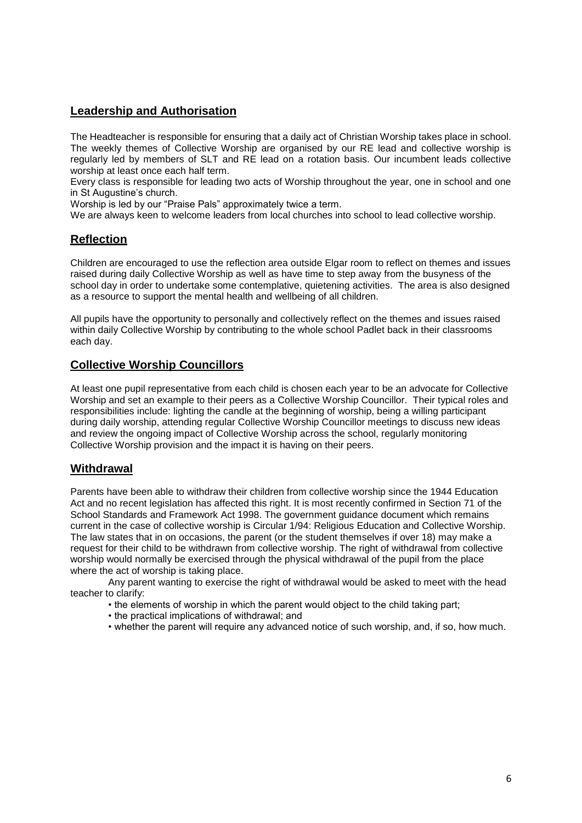# **Leadership and Authorisation**

The Headteacher is responsible for ensuring that a daily act of Christian Worship takes place in school. The weekly themes of Collective Worship are organised by our RE lead and collective worship is regularly led by members of SLT and RE lead on a rotation basis. Our incumbent leads collective worship at least once each half term.

Every class is responsible for leading two acts of Worship throughout the year, one in school and one in St Augustine's church.

Worship is led by our "Praise Pals" approximately twice a term.

We are always keen to welcome leaders from local churches into school to lead collective worship.

# **Reflection**

Children are encouraged to use the reflection area outside Elgar room to reflect on themes and issues raised during daily Collective Worship as well as have time to step away from the busyness of the school day in order to undertake some contemplative, quietening activities. The area is also designed as a resource to support the mental health and wellbeing of all children.

All pupils have the opportunity to personally and collectively reflect on the themes and issues raised within daily Collective Worship by contributing to the whole school Padlet back in their classrooms each day.

### **Collective Worship Councillors**

At least one pupil representative from each child is chosen each year to be an advocate for Collective Worship and set an example to their peers as a Collective Worship Councillor. Their typical roles and responsibilities include: lighting the candle at the beginning of worship, being a willing participant during daily worship, attending regular Collective Worship Councillor meetings to discuss new ideas and review the ongoing impact of Collective Worship across the school, regularly monitoring Collective Worship provision and the impact it is having on their peers.

# **Withdrawal**

Parents have been able to withdraw their children from collective worship since the 1944 Education Act and no recent legislation has affected this right. It is most recently confirmed in Section 71 of the School Standards and Framework Act 1998. The government guidance document which remains current in the case of collective worship is Circular 1/94: Religious Education and Collective Worship. The law states that in on occasions, the parent (or the student themselves if over 18) may make a request for their child to be withdrawn from collective worship. The right of withdrawal from collective worship would normally be exercised through the physical withdrawal of the pupil from the place where the act of worship is taking place.

Any parent wanting to exercise the right of withdrawal would be asked to meet with the head teacher to clarify:

- the elements of worship in which the parent would object to the child taking part;
- the practical implications of withdrawal; and
- whether the parent will require any advanced notice of such worship, and, if so, how much.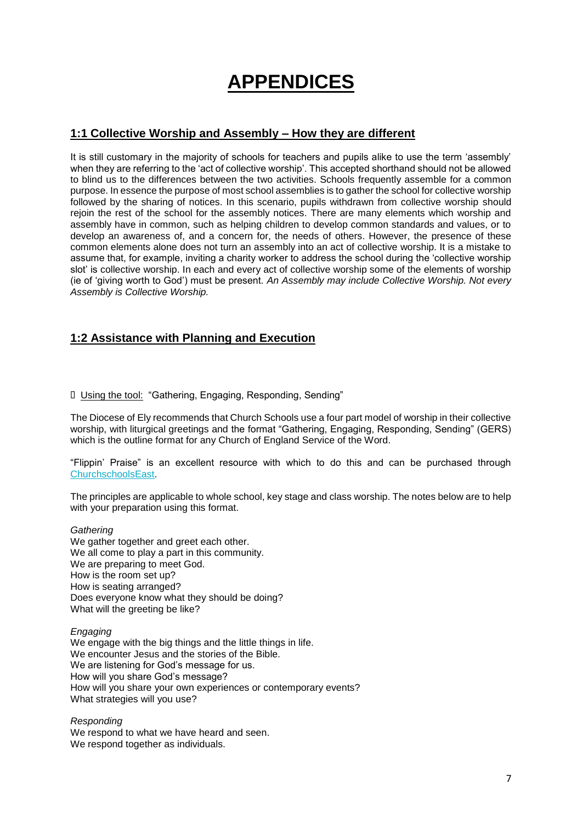# **APPENDICES**

### **1:1 Collective Worship and Assembly – How they are different**

It is still customary in the majority of schools for teachers and pupils alike to use the term 'assembly' when they are referring to the 'act of collective worship'. This accepted shorthand should not be allowed to blind us to the differences between the two activities. Schools frequently assemble for a common purpose. In essence the purpose of most school assemblies is to gather the school for collective worship followed by the sharing of notices. In this scenario, pupils withdrawn from collective worship should rejoin the rest of the school for the assembly notices. There are many elements which worship and assembly have in common, such as helping children to develop common standards and values, or to develop an awareness of, and a concern for, the needs of others. However, the presence of these common elements alone does not turn an assembly into an act of collective worship. It is a mistake to assume that, for example, inviting a charity worker to address the school during the 'collective worship slot' is collective worship. In each and every act of collective worship some of the elements of worship (ie of 'giving worth to God') must be present. *An Assembly may include Collective Worship. Not every Assembly is Collective Worship.*

### **1:2 Assistance with Planning and Execution**

### Using the tool: "Gathering, Engaging, Responding, Sending"

The Diocese of Ely recommends that Church Schools use a four part model of worship in their collective worship, with liturgical greetings and the format "Gathering, Engaging, Responding, Sending" (GERS) which is the outline format for any Church of England Service of the Word.

"Flippin' Praise" is an excellent resource with which to do this and can be purchased throug[h](http://www.cofesuffolk.org/resources#/) [ChurchschoolsEast.](http://www.cofesuffolk.org/resources#/)

The principles are applicable to whole school, key stage and class worship. The notes below are to help with your preparation using this format.

#### *Gathering*

We gather together and greet each other. We all come to play a part in this community. We are preparing to meet God. How is the room set up? How is seating arranged? Does everyone know what they should be doing? What will the greeting be like?

#### *Engaging*

We engage with the big things and the little things in life. We encounter Jesus and the stories of the Bible. We are listening for God's message for us. How will you share God's message? How will you share your own experiences or contemporary events? What strategies will you use?

*Responding*

We respond to what we have heard and seen. We respond together as individuals.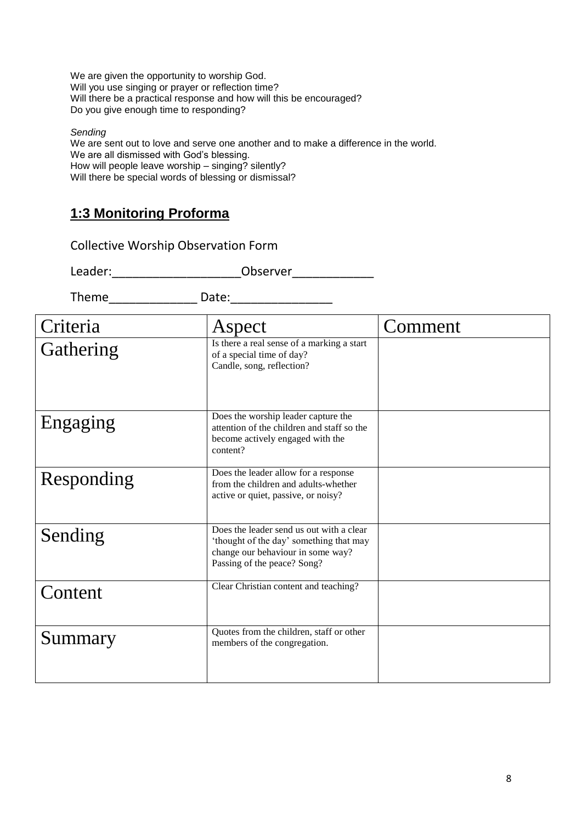We are given the opportunity to worship God. Will you use singing or prayer or reflection time? Will there be a practical response and how will this be encouraged? Do you give enough time to responding?

*Sending*

We are sent out to love and serve one another and to make a difference in the world. We are all dismissed with God's blessing. How will people leave worship – singing? silently? Will there be special words of blessing or dismissal?

# **1:3 Monitoring Proforma**

Collective Worship Observation Form

Leader:\_\_\_\_\_\_\_\_\_\_\_\_\_\_\_\_\_\_\_Observer\_\_\_\_\_\_\_\_\_\_\_\_

Theme Date:

| Criteria   | Aspect                                                                                                                                                  | Comment |
|------------|---------------------------------------------------------------------------------------------------------------------------------------------------------|---------|
| Gathering  | Is there a real sense of a marking a start<br>of a special time of day?<br>Candle, song, reflection?                                                    |         |
| Engaging   | Does the worship leader capture the<br>attention of the children and staff so the<br>become actively engaged with the<br>content?                       |         |
| Responding | Does the leader allow for a response<br>from the children and adults-whether<br>active or quiet, passive, or noisy?                                     |         |
| Sending    | Does the leader send us out with a clear<br>'thought of the day' something that may<br>change our behaviour in some way?<br>Passing of the peace? Song? |         |
| Content    | Clear Christian content and teaching?                                                                                                                   |         |
| Summary    | Quotes from the children, staff or other<br>members of the congregation.                                                                                |         |